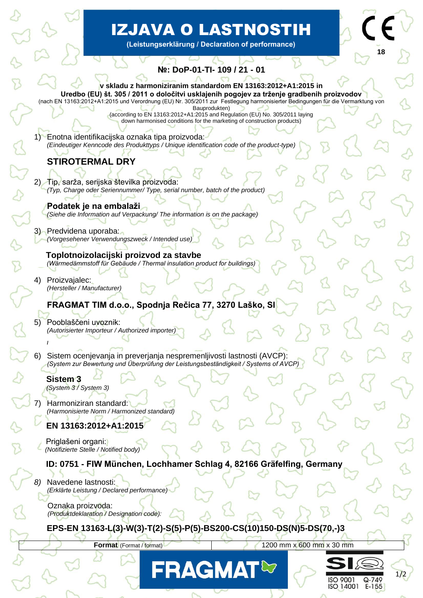# IZJAVA O LASTNOSTIH

**(Leistungserklärung / Declaration of performance)**

**18**

# **№: DoP-01-TI- 109 / 21 - 01**

Bauprodukten) (according to EN 13163:2012+A1:2015 and Regulation (EU) No. 305/2011 laying down harmonised conditions for the marketing of construction products)

1) Enotna identifikacijska oznaka tipa proizvoda: *(Eindeutiger Kenncode des Produkttyps / Unique identification code of the product-type)*

# **STIROTERMAL DRY**

j

é

- 2) Tip, sarža, serijska številka proizvoda: *(Typ, Charge oder Seriennummer/ Type, serial number, batch of the product)*
	- **Podatek je na embalaži** *(Siehe die Information auf Verpackung/ The information is on the package)*

#### 3) Predvidena uporaba: *(Vorgesehener Verwendungszweck / Intended use)*

 **Toplotnoizolacijski proizvod za stavbe**  *(Wärmedämmstoff für Gebäude / Thermal insulation product for buildings)*

4) Proizvajalec: *(Hersteller / Manufacturer)*

### **FRAGMAT TIM d.o.o., Spodnja Rečica 77, 3270 Laško, SI**

5) Pooblaščeni uvoznik: *(Autorisierter Importeur / Authorized importer)*

6) Sistem ocenjevanja in preverjanja nespremenljivosti lastnosti (AVCP): *(System zur Bewertung und Überprüfung der Leistungsbeständigkeit / Systems of AVCP)*

#### **Sistem 3**

**/**

 *(System 3 / System 3)*

Harmoniziran standard:  *(Harmonisierte Norm / Harmonized standard)*

## **EN 13163:2012+A1:2015**

 Priglašeni organi:  *(Notifizierte Stelle / Notified body)*

#### **ID: 0751 - FIW München, Lochhamer Schlag 4, 82166 Gräfelfing, Germany**

*8)* Navedene lastnosti: *(Erklärte Leistung / Declared performance)*

 Oznaka proizvoda: *(Produktdeklaration / Designation code):* 

#### **EPS-EN 13163-L(3)-W(3)-T(2)-S(5)-P(5)-BS200-CS(10)150-DS(N)5-DS(70,-)3**

**Format** (Format / format) **1200 mm x 600 mm x 30 mm**